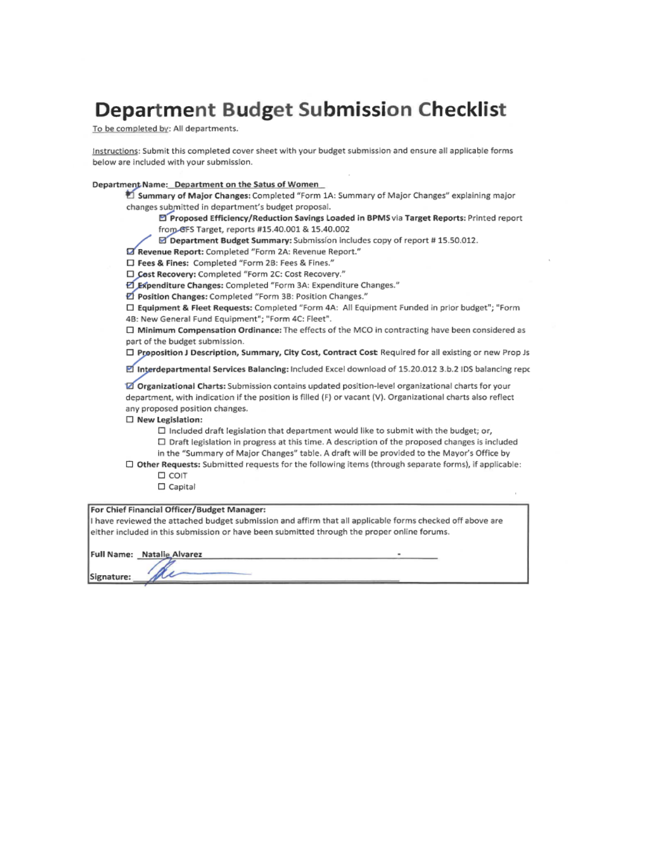# **Department Budget Submission Checklist**

To be completed by: All departments.

Instructions: Submit this completed cover sheet with your budget submission and ensure all applicable forms below are included with your submission.

#### Department Name: Department on the Satus of Women

Let Summary of Major Changes: Completed "Form 1A: Summary of Major Changes" explaining major changes submitted in department's budget proposal.

Proposed Efficiency/Reduction Savings Loaded in BPMS via Target Reports: Printed report from GFS Target, reports #15.40.001 & 15.40.002

Department Budget Summary: Submission includes copy of report #15.50.012.

Revenue Report: Completed "Form 2A: Revenue Report."

E Fees & Fines: Completed "Form 2B: Fees & Fines."

El Cost Recovery: Completed "Form 2C: Cost Recovery."

Expenditure Changes: Completed "Form 3A: Expenditure Changes."

Position Changes: Completed "Form 3B: Position Changes."

□ Equipment & Fleet Requests: Completed "Form 4A: All Equipment Funded in prior budget"; "Form 4B: New General Fund Equipment"; "Form 4C: Fleet".

 $\Box$  Minimum Compensation Ordinance: The effects of the MCO in contracting have been considered as part of the budget submission.

□ Proposition J Description, Summary, City Cost, Contract Cost Required for all existing or new Prop Js

Interdepartmental Services Balancing: Included Excel download of 15.20.012 3.b.2 IDS balancing repo

Dorganizational Charts: Submission contains updated position-level organizational charts for your department, with indication if the position is filled (F) or vacant (V). Organizational charts also reflect any proposed position changes.

#### □ New Legislation:

 $\Box$  Included draft legislation that department would like to submit with the budget; or,  $\Box$  Draft legislation in progress at this time. A description of the proposed changes is included

in the "Summary of Major Changes" table. A draft will be provided to the Mayor's Office by □ Other Requests: Submitted requests for the following items (through separate forms), if applicable:

- $\Box$  COIT
- $\Box$  Capital

#### For Chief Financial Officer/Budget Manager:

Thave reviewed the attached budget submission and affirm that all applicable forms checked off above are either included in this submission or have been submitted through the proper online forums.

Full Name: Natalie Alvarez

Signature: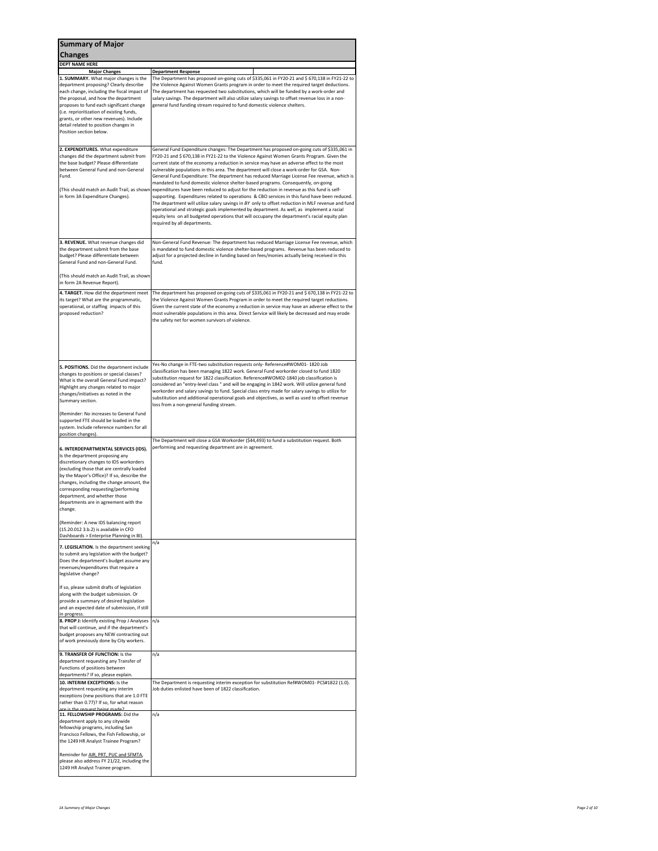| <b>Summary of Major</b><br>Changes                                                                                                                                                                                                                                                                                                                                                                             |                                                                                                                                                                                                                                                                                                                                                                                                                                                                                                                                                                                                                                                                                                                                                                                                                                                                                                                                                                                                                                                                                                            |
|----------------------------------------------------------------------------------------------------------------------------------------------------------------------------------------------------------------------------------------------------------------------------------------------------------------------------------------------------------------------------------------------------------------|------------------------------------------------------------------------------------------------------------------------------------------------------------------------------------------------------------------------------------------------------------------------------------------------------------------------------------------------------------------------------------------------------------------------------------------------------------------------------------------------------------------------------------------------------------------------------------------------------------------------------------------------------------------------------------------------------------------------------------------------------------------------------------------------------------------------------------------------------------------------------------------------------------------------------------------------------------------------------------------------------------------------------------------------------------------------------------------------------------|
| <b>DEPT NAME HERE</b>                                                                                                                                                                                                                                                                                                                                                                                          |                                                                                                                                                                                                                                                                                                                                                                                                                                                                                                                                                                                                                                                                                                                                                                                                                                                                                                                                                                                                                                                                                                            |
| <b>Major Changes</b>                                                                                                                                                                                                                                                                                                                                                                                           | <b>Department Response</b>                                                                                                                                                                                                                                                                                                                                                                                                                                                                                                                                                                                                                                                                                                                                                                                                                                                                                                                                                                                                                                                                                 |
| 1. SUMMARY. What major changes is the<br>department proposing? Clearly describe<br>each change, including the fiscal impact of<br>the proposal, and how the department<br>proposes to fund each significant change<br>(i.e. reprioritization of existing funds,<br>grants, or other new revenues). Include<br>detail related to position changes in<br>Position section below.                                 | The Department has proposed on-going cuts of \$335,061 in FY20-21 and \$ 670,138 in FY21-22 to<br>the Violence Against Women Grants program in order to meet the required target deductions.<br>The department has requested two substitutions, which will be funded by a work-order and<br>salary savings. The department will also utilize salary savings to offset revenue loss in a non-<br>general fund funding stream required to fund domestic violence shelters.                                                                                                                                                                                                                                                                                                                                                                                                                                                                                                                                                                                                                                   |
| 2. EXPENDITURES. What expenditure<br>changes did the department submit from<br>the base budget? Please differentiate<br>between General Fund and non-General<br>Fund.<br>(This should match an Audit Trail, as shown<br>in form 3A Expenditure Changes).                                                                                                                                                       | General Fund Expenditure changes: The Department has proposed on-going cuts of \$335,061 in<br>FY20-21 and \$ 670,138 in FY21-22 to the Violence Against Women Grants Program. Given the<br>current state of the economy a reduction in service may have an adverse effect to the most<br>vulnerable populations in this area. The department will close a work-order for GSA. Non-<br>General Fund Expenditure: The department has reduced Marriage License Fee revenue, which is<br>mandated to fund domestic violence shelter-based programs. Consequently, on-going<br>expenditures have been reduced to adjust for the reduction in revenue as this fund is self-<br>supporting. Expenditures related to operations & CBO services in this fund have been reduced.<br>The department will utilize salary savings in BY only to offset reduction in MLF revenue and fund<br>operational and strategic goals implemented by department. As well, as implement a racial<br>equity lens on all budgeted operations that will occupany the department's racial equity plan<br>required by all departments. |
| 3. REVENUE. What revenue changes did<br>the department submit from the base<br>budget? Please differentiate between<br>General Fund and non-General Fund.<br>(This should match an Audit Trail, as shown                                                                                                                                                                                                       | Non-General Fund Revenue: The department has reduced Marriage License Fee revenue, which<br>is mandated to fund domestic violence shelter-based programs. Revenue has been reduced to<br>adjust for a projected decline in funding based on fees/monies actually being received in this<br>fund.                                                                                                                                                                                                                                                                                                                                                                                                                                                                                                                                                                                                                                                                                                                                                                                                           |
| in form 2A Revenue Report).<br>4. TARGET. How did the department meet<br>its target? What are the programmatic,<br>operational, or staffing impacts of this<br>proposed reduction?                                                                                                                                                                                                                             | The department has proposed on-going cuts of \$335,061 in FY20-21 and \$ 670,138 in FY21-22 to<br>the Violence Against Women Grants Program in order to meet the required target reductions.<br>Given the current state of the economy a reduction in service may have an adverse effect to the<br>most vulnerable populations in this area. Direct Service will likely be decreased and may erode<br>the safety net for women survivors of violence.                                                                                                                                                                                                                                                                                                                                                                                                                                                                                                                                                                                                                                                      |
| 5. POSITIONS. Did the department include<br>changes to positions or special classes?<br>What is the overall General Fund impact?<br>Highlight any changes related to major<br>changes/initiatives as noted in the<br>Summary section.<br>(Reminder: No increases to General Fund<br>supported FTE should be loaded in the                                                                                      | Yes-No change in FTE-two substitution requests only-Reference#WOM01- 1820 Job<br>classification has been managing 1822 work. General Fund workorder closed to fund 1820<br>substitution request for 1822 classification. Reference#WOM02-1840 job classification is<br>considered an "entry-level class " and will be engaging in 1842 work. Will utilize general fund<br>workorder and salary savings to fund. Special class entry made for salary savings to utilize for<br>substitution and additional operational goals and objectives, as well as used to offset revenue<br>loss from a non-general funding stream.                                                                                                                                                                                                                                                                                                                                                                                                                                                                                   |
| system. Include reference numbers for all                                                                                                                                                                                                                                                                                                                                                                      |                                                                                                                                                                                                                                                                                                                                                                                                                                                                                                                                                                                                                                                                                                                                                                                                                                                                                                                                                                                                                                                                                                            |
| position changes).<br>6. INTERDEPARTMENTAL SERVICES (IDS).<br>Is the department proposing any<br>discretionary changes to IDS workorders<br>(excluding those that are centrally loaded<br>by the Mayor's Office)? If so, describe the<br>changes, including the change amount, the<br>corresponding requesting/performing<br>department, and whether those<br>departments are in agreement with the<br>change. | The Department will close a GSA Workorder (\$44,493) to fund a substitution request. Both<br>performing and requesting department are in agreement.                                                                                                                                                                                                                                                                                                                                                                                                                                                                                                                                                                                                                                                                                                                                                                                                                                                                                                                                                        |
| (Reminder: A new IDS balancing report<br>(15.20.012 3.b.2) is available in CFO<br>Dashboards > Enterprise Planning in BI).                                                                                                                                                                                                                                                                                     |                                                                                                                                                                                                                                                                                                                                                                                                                                                                                                                                                                                                                                                                                                                                                                                                                                                                                                                                                                                                                                                                                                            |
| 7. LEGISLATION. Is the department seeking<br>to submit any legislation with the budget?<br>Does the department's budget assume any<br>revenues/expenditures that require a<br>legislative change?                                                                                                                                                                                                              | n/a                                                                                                                                                                                                                                                                                                                                                                                                                                                                                                                                                                                                                                                                                                                                                                                                                                                                                                                                                                                                                                                                                                        |
| If so, please submit drafts of legislation<br>along with the budget submission. Or<br>provide a summary of desired legislation<br>and an expected date of submission, if still<br>in progress.                                                                                                                                                                                                                 |                                                                                                                                                                                                                                                                                                                                                                                                                                                                                                                                                                                                                                                                                                                                                                                                                                                                                                                                                                                                                                                                                                            |
| 8. PROP J: Identify existing Prop J Analyses<br>that will continue, and if the department's<br>budget proposes any NEW contracting out<br>of work previously done by City workers.                                                                                                                                                                                                                             | n/a                                                                                                                                                                                                                                                                                                                                                                                                                                                                                                                                                                                                                                                                                                                                                                                                                                                                                                                                                                                                                                                                                                        |
| 9. TRANSFER OF FUNCTION: Is the<br>department requesting any Transfer of<br>Functions of positions between<br>departments? If so, please explain.<br>10. INTERIM EXCEPTIONS: Is the                                                                                                                                                                                                                            | n/a                                                                                                                                                                                                                                                                                                                                                                                                                                                                                                                                                                                                                                                                                                                                                                                                                                                                                                                                                                                                                                                                                                        |
| department requesting any interim<br>exceptions (new positions that are 1.0 FTE<br>rather than 0.77)? If so, for what reason<br>are is the request heing made?<br>11. FELLOWSHIP PROGRAMS: Did the<br>department apply to any citywide                                                                                                                                                                         | The Department is requesting interim exception for substitution Ref#WOM01- PCS#1822 (1.0).<br>Job duties enlisted have been of 1822 classification.<br>n/a                                                                                                                                                                                                                                                                                                                                                                                                                                                                                                                                                                                                                                                                                                                                                                                                                                                                                                                                                 |
| fellowship programs, including San<br>Francisco Fellows, the Fish Fellowship, or<br>the 1249 HR Analyst Trainee Program?<br>Reminder for AIR, PRT, PUC and SFMTA,                                                                                                                                                                                                                                              |                                                                                                                                                                                                                                                                                                                                                                                                                                                                                                                                                                                                                                                                                                                                                                                                                                                                                                                                                                                                                                                                                                            |
| please also address FY 21/22, including the<br>1249 HR Analyst Trainee program.                                                                                                                                                                                                                                                                                                                                |                                                                                                                                                                                                                                                                                                                                                                                                                                                                                                                                                                                                                                                                                                                                                                                                                                                                                                                                                                                                                                                                                                            |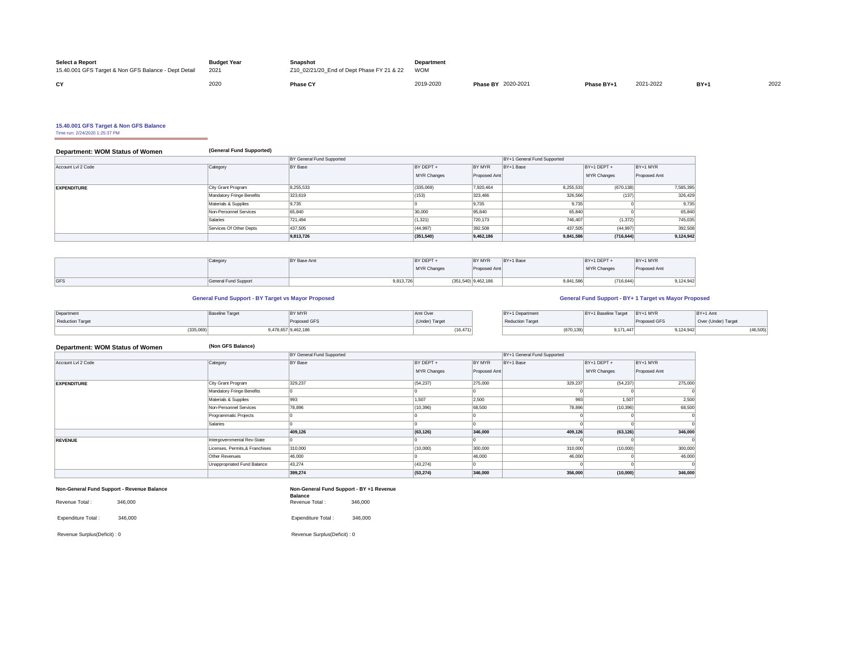| <b>Select a Report</b><br>15.40.001 GFS Target & Non GFS Balance - Dept Detail | <b>Budget Year</b><br>2021 | Snapshot<br>Z10 02/21/20 End of Dept Phase FY 21 & 22 | Department<br><b>WOM</b> |                           |            |           |        |      |
|--------------------------------------------------------------------------------|----------------------------|-------------------------------------------------------|--------------------------|---------------------------|------------|-----------|--------|------|
| CY                                                                             | 2020                       | <b>Phase CY</b>                                       | 2019-2020                | <b>Phase BY 2020-2021</b> | Phase BY+1 | 2021-2022 | $BY+1$ | 2022 |

**15.40.001 GFS Target & Non GFS Balance** Time run: 2/24/2020 1:25:37 PM

| Department: WOM Status of Women | (General Fund Supported)  |                           |                    |               |                             |             |              |  |
|---------------------------------|---------------------------|---------------------------|--------------------|---------------|-----------------------------|-------------|--------------|--|
|                                 |                           | BY General Fund Supported |                    |               | BY+1 General Fund Supported |             |              |  |
| Account Lvl 2 Code              | Category                  | <b>BY</b> Base            | BY DEPT +          | <b>BY MYR</b> | BY+1 Base                   | BY+1 DEPT + | BY+1 MYR     |  |
|                                 |                           |                           | <b>MYR Changes</b> | Proposed Amt  |                             | MYR Changes | Proposed Amt |  |
| <b>EXPENDITURE</b>              | City Grant Program        | 8,255,533                 | (335,069)          | 7.920.464     | 8.255.533                   | (670, 138)  | 7,585,395    |  |
|                                 | Mandatory Fringe Benefits | 323,619                   | (153)              | 323,466       | 326,566                     | (137)       | 326,429      |  |
|                                 | Materials & Supplies      | 9,735                     |                    | 9.735         | 9,735                       |             | 9,735        |  |
|                                 | Non-Personnel Services    | 65,840                    | 30,000             | 95,840        | 65,840                      |             | 65,840       |  |
|                                 | Salaries                  | 721.494                   | (1, 321)           | 720.173       | 746,407                     | (1, 372)    | 745,035      |  |
|                                 | Services Of Other Depts   | 437,505                   | (44, 997)          | 392,508       | 437,505                     | (44, 997)   | 392,508      |  |
|                                 |                           | 9,813,726                 | (351, 540)         | 9,462,186     | 9,841,586                   | (716, 644)  | 9,124,942    |  |

|     | Category             | BY Base Amt | BY DEPT +   | <b>BY MYR</b>          | BY+1 Base | $BY+1$ DEPT + | BY+1 MYR     |
|-----|----------------------|-------------|-------------|------------------------|-----------|---------------|--------------|
|     |                      |             | MYR Changes | Proposed Amt           |           | MYR Changes   | Proposed Amt |
| GFS | General Fund Support | 9,813,726   |             | $(351, 540)$ 9,462,186 | 9,841,586 | (716, 644)    | 9,124,942    |

#### **General Fund Support - BY Target vs Mayor Proposed General Fund Support - BY+ 1 Target vs Mayor Proposed**

| Department       | <b>Baseline Target</b> | BY MYR              | Amt Over       | BY+1 Department  | BY+1 Baseline Target | BY+1 MYR     | BY+1 Amt            |
|------------------|------------------------|---------------------|----------------|------------------|----------------------|--------------|---------------------|
| Reduction Target |                        | Proposed GFS        | (Under) Target | Reduction Target |                      | Proposed GFS | Over (Under) Target |
| (335,069)        |                        | 9,478,657 9,462,186 | (16, 471)      | (670, 139)       | 9,171,447            | 9,124,942    | (46, 505)           |

#### **Department: WOM Status of Women (Non GFS Balance)**

|                    |                                 | BY General Fund Supported |             |              | BY+1 General Fund Supported |             |              |
|--------------------|---------------------------------|---------------------------|-------------|--------------|-----------------------------|-------------|--------------|
| Account Lvl 2 Code | Category                        | BY Base                   | BY DEPT +   | BY MYR       | BY+1 Base                   | BY+1 DEPT + | BY+1 MYR     |
|                    |                                 |                           | MYR Changes | Proposed Amt |                             | MYR Changes | Proposed Amt |
| <b>EXPENDITURE</b> | City Grant Program              | 329,237                   | (54, 237)   | 275,000      | 329,237                     | (54, 237)   | 275,000      |
|                    | Mandatory Fringe Benefits       |                           |             |              |                             |             |              |
|                    | Materials & Supplies            | 993                       | 1.507       | 2,500        | 993                         | 1,507       | 2,500        |
|                    | Non-Personnel Services          | 78,896                    | (10, 396)   | 68,500       | 78,896                      | (10, 396)   | 68,500       |
|                    | Programmatic Projects           |                           |             |              |                             |             |              |
|                    | Salaries                        |                           |             |              |                             |             |              |
|                    |                                 | 409,126                   | (63, 126)   | 346,000      | 409,126                     | (63, 126)   | 346,000      |
| <b>REVENUE</b>     | Intergovernmental Rev-State     |                           |             |              |                             |             |              |
|                    | Licenses, Permits, & Franchises | 310,000                   | (10,000)    | 300,000      | 310,000                     | (10,000)    | 300,000      |
|                    | Other Revenues                  | 46,000                    |             | 46,000       | 46,000                      |             | 46,000       |
|                    | Unappropriated Fund Balance     | 43,274                    | (43, 274)   |              |                             |             |              |
|                    |                                 | 399,274                   | (53, 274)   | 346,000      | 356,000                     | (10,000)    | 346,000      |

#### **Non-General Fund Support - Revenue Balance**

# Non-General Fund Support - BY +1 Revenue<br>Balance

| Revenue Total:               | 346,000 | -------------<br>Revenue Total: | 346,000 |
|------------------------------|---------|---------------------------------|---------|
| Expenditure Total:           | 346,000 | Expenditure Total:              | 346,000 |
| Revenue Surplus(Deficit) : 0 |         | Revenue Surplus(Deficit) : 0    |         |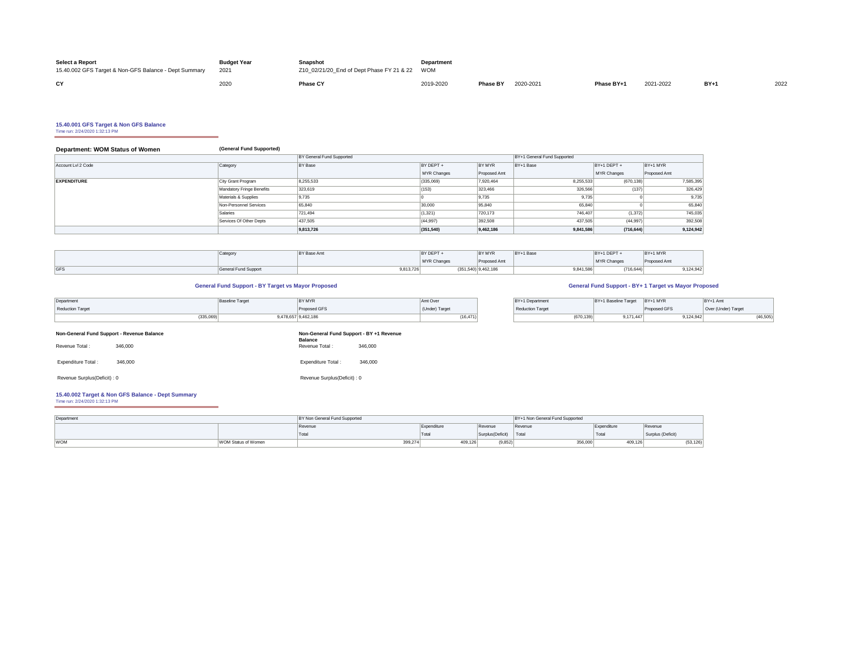| Select a Report<br>15.40.002 GFS Target & Non-GFS Balance - Dept Summary | <b>Budget Year</b><br>2021 | <b>Snapshot</b><br>Z10 02/21/20 End of Dept Phase FY 21 & 22 WOM | <b>Department</b> |                 |           |            |           |       |      |
|--------------------------------------------------------------------------|----------------------------|------------------------------------------------------------------|-------------------|-----------------|-----------|------------|-----------|-------|------|
| CY                                                                       | 2020                       | <b>Phase CY</b>                                                  | 2019-2020         | <b>Phase BY</b> | 2020-2021 | Phase BY+1 | 2021-2022 | $BY+$ | 2022 |

**15.40.001 GFS Target & Non GFS Balance** Time run: 2/24/2020 1:32:13 PM

#### **Department: WOM Status of Women (General Fund Supported)**

|                    |                           | BY General Fund Supported |             |               | BY+1 General Fund Supported |             |              |
|--------------------|---------------------------|---------------------------|-------------|---------------|-----------------------------|-------------|--------------|
| Account Lvl 2 Code | Category                  | <b>BY</b> Base            | BY DEPT +   | <b>BY MYR</b> | BY+1 Base                   | BY+1 DEPT + | BY+1 MYR     |
|                    |                           |                           | MYR Changes | Proposed Amt  |                             | MYR Changes | Proposed Amt |
| <b>EXPENDITURE</b> | City Grant Program        | 8,255,533                 | (335,069)   | 7.920.464     | 8,255,533                   | (670, 138)  | 7,585,395    |
|                    | Mandatory Fringe Benefits | 323,619                   | (153)       | 323,466       | 326,566                     | (137)       | 326,429      |
|                    | Materials & Supplies      | 9.735                     |             | 9.735         | 9.735                       |             | 9,735        |
|                    | Non-Personnel Services    | 65,840                    | 30,000      | 95,840        | 65,840                      |             | 65,840       |
|                    | Salaries                  | 721.494                   | (1, 321)    | 720,173       | 746,407                     | (1,372)     | 745,035      |
|                    | Services Of Other Depts   | 437,505                   | (44, 997)   | 392.508       | 437.505                     | (44.997)    | 392,508      |
|                    |                           | 9.813.726                 | (351, 540)  | 9,462,186     | 9,841,586                   | (716, 644)  | 9,124,942    |

|     | Category             | BY Base Amt | BY DEPT +          | BY MYR                | BY+1 Base | $BY+1$ DEPT + | BY+1 MYR     |
|-----|----------------------|-------------|--------------------|-----------------------|-----------|---------------|--------------|
|     |                      |             | <b>MYR Changes</b> | Proposed Amt          |           | MYR Changes   | Proposed Amt |
| GFS | General Fund Support | 9,813,726   |                    | $(351,540)$ 9,462,186 | 9,841,586 | (716, 644)    | 9,124,942    |

#### **General Fund Support - BY Target vs Mayor Proposed General Fund Support - BY+ 1 Target vs Mayor Proposed**

| Department       | <b>Baseline Target</b> | BY MYR              | Amt Over          | BY+1 Department         | BY+1 Baseline Target | BY+1 MYR     | BY+1 Amt            |
|------------------|------------------------|---------------------|-------------------|-------------------------|----------------------|--------------|---------------------|
| Reduction Target |                        | Proposed GFS        | (Under) Target    | <b>Reduction Target</b> |                      | Proposed GFS | Over (Under) Target |
| (335,069)        |                        | 9,478,657 9,462,186 | $^{\prime}16,471$ | (670, 139)              | 9,171,447            | 9,124,942    | (46, 505)           |

| Non-General Fund Support - Revenue Balance |         | Non-General Fund Support - BY +1 Revenue<br><b>Balance</b> |         |  |  |  |
|--------------------------------------------|---------|------------------------------------------------------------|---------|--|--|--|
| Revenue Total:                             | 346,000 | Revenue Total:                                             | 346,000 |  |  |  |
| Expenditure Total:                         | 346,000 | Expenditure Total:                                         | 346,000 |  |  |  |
| Revenue Surplus(Deficit) : 0               |         | Revenue Surplus(Deficit) : 0                               |         |  |  |  |
|                                            |         |                                                            |         |  |  |  |

## **15.40.002 Target & Non GFS Balance - Dept Summary** Time run: 2/24/2020 1:32:13 PM

| Department  |                     | BY Non General Fund Supported |             |                   | BY+1 Non General Fund Supported |             |                   |
|-------------|---------------------|-------------------------------|-------------|-------------------|---------------------------------|-------------|-------------------|
|             |                     | Revenue                       | Expenditure | Revenue           | Revenue                         | Expenditure | Revenue           |
|             |                     | Tota                          | Total       | Surplus (Deficit) | Total                           | Tota.       | Surplus (Deficit) |
| <b>IWOM</b> | WOM Status of Women | 399,274                       | 409,126     | (9,852)           | 356,000                         | 409,126     | (53, 126)         |

| '+1 Department  | BY+1 Baseline Target | BY+1 MYR     | BY+1 Amt            |  |
|-----------------|----------------------|--------------|---------------------|--|
| eduction Target |                      | Proposed GFS | Over (Under) Target |  |
| (670.139)       | 9.171.447            | 9.124.942    | (46,505)            |  |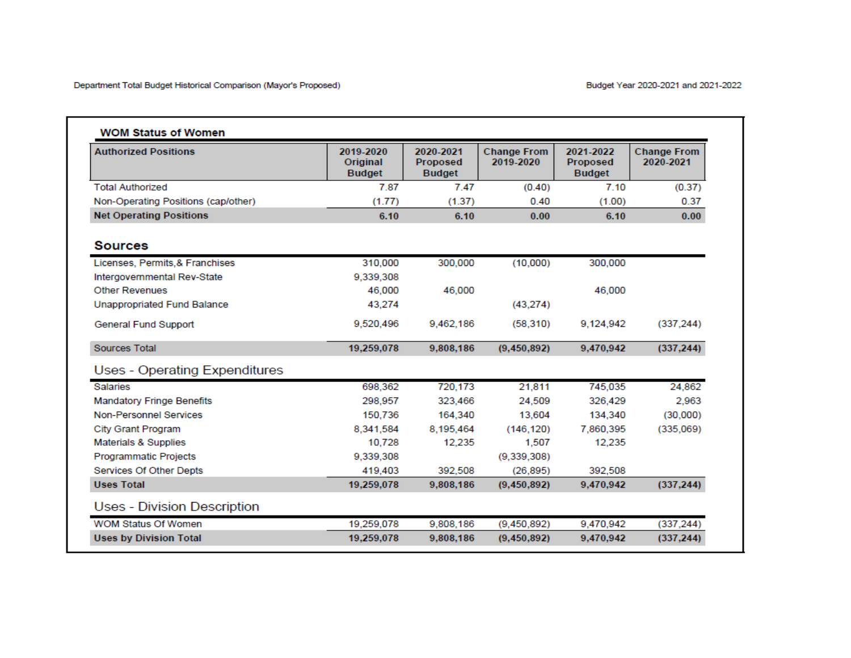| <b>Authorized Positions</b>         | 2019-2020<br>Original<br><b>Budget</b> | 2020-2021<br><b>Proposed</b><br><b>Budget</b> | <b>Change From</b><br>2019-2020 | 2021-2022<br>Proposed<br><b>Budget</b> | <b>Change From</b><br>2020-2021 |
|-------------------------------------|----------------------------------------|-----------------------------------------------|---------------------------------|----------------------------------------|---------------------------------|
| <b>Total Authorized</b>             | 7.87                                   | 7.47                                          | (0.40)                          | 7 10                                   | (0.37)                          |
| Non-Operating Positions (cap/other) | (1.77)                                 | (1.37)                                        | 0.40                            | (1.00)                                 | 0.37                            |
| <b>Net Operating Positions</b>      | 6.10                                   | 6.10                                          | 0.00                            | 6.10                                   | 0.00                            |
| <b>Sources</b>                      |                                        |                                               |                                 |                                        |                                 |
| Licenses, Permits, & Franchises     | 310,000                                | 300,000                                       | (10,000)                        | 300,000                                |                                 |
| Intergovernmental Rev-State         | 9.339.308                              |                                               |                                 |                                        |                                 |
| <b>Other Revenues</b>               | 46,000                                 | 46,000                                        |                                 | 46,000                                 |                                 |
| Unappropriated Fund Balance         | 43.274                                 |                                               | (43.274)                        |                                        |                                 |
| General Fund Support                | 9.520.496                              | 9.462.186                                     | (58, 310)                       | 9.124.942                              | (337, 244)                      |
| <b>Sources Total</b>                | 19,259,078                             | 9,808,186                                     | (9,450,892)                     | 9,470,942                              | (337, 244)                      |
| Uses - Operating Expenditures       |                                        |                                               |                                 |                                        |                                 |
| <b>Salaries</b>                     | 698,362                                | 720,173                                       | 21,811                          | 745,035                                | 24,862                          |
| <b>Mandatory Fringe Benefits</b>    | 298,957                                | 323,466                                       | 24,509                          | 326,429                                | 2.963                           |
| Non-Personnel Services              | 150,736                                | 164,340                                       | 13,604                          | 134,340                                | (30,000)                        |
| <b>City Grant Program</b>           | 8.341.584                              | 8,195,464                                     | (146.120)                       | 7,860,395                              | (335,069)                       |
| Materials & Supplies                | 10.728                                 | 12,235                                        | 1.507                           | 12,235                                 |                                 |
| Programmatic Projects               | 9.339.308                              |                                               | (9,339,308)                     |                                        |                                 |
| Services Of Other Depts             | 419,403                                | 392,508                                       | (26, 895)                       | 392,508                                |                                 |
| <b>Uses Total</b>                   | 19,259,078                             | 9,808,186                                     | (9,450,892)                     | 9,470,942                              | (337, 244)                      |
| <b>Uses - Division Description</b>  |                                        |                                               |                                 |                                        |                                 |
| <b>WOM Status Of Women</b>          | 19,259,078                             | 9,808,186                                     | (9,450,892)                     | 9,470,942                              | (337, 244)                      |
| <b>Uses by Division Total</b>       | 19,259,078                             | 9,808,186                                     | (9,450,892)                     | 9,470,942                              | (337, 244)                      |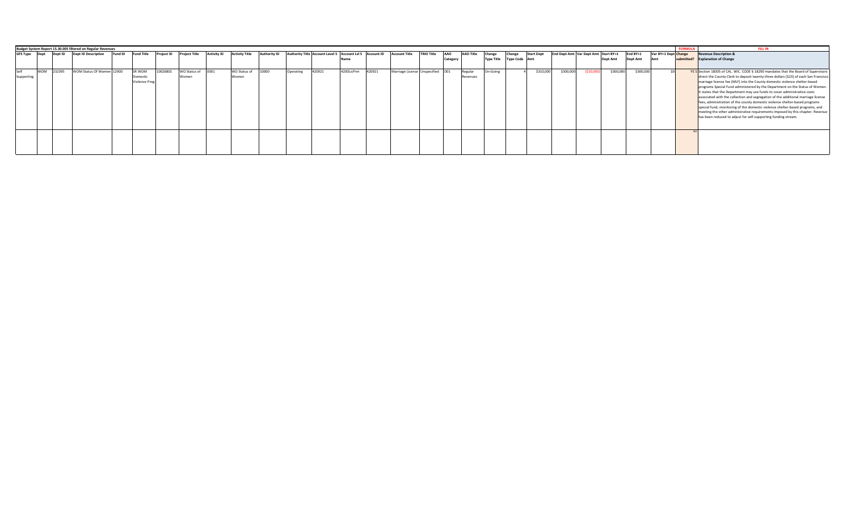|            |                      |         | Budget System Report 15.30.005 filtered on Regular Revenues |         |                   |            |                      |                    |                       |                     |           |                                                          |            |        |                      |                                  |            |                  |                          |        |                   |                                      |             |                 |                 |                      | <b>FORMULA</b> | FILL IN                                                                              |
|------------|----------------------|---------|-------------------------------------------------------------|---------|-------------------|------------|----------------------|--------------------|-----------------------|---------------------|-----------|----------------------------------------------------------|------------|--------|----------------------|----------------------------------|------------|------------------|--------------------------|--------|-------------------|--------------------------------------|-------------|-----------------|-----------------|----------------------|----------------|--------------------------------------------------------------------------------------|
|            | <b>GFS Type Dept</b> | Dept ID | <b>Dept ID Description</b>                                  | Fund ID | <b>Fund Title</b> | Project ID | <b>Project Title</b> | <b>Activity ID</b> | <b>Activity Title</b> | <b>Authority ID</b> |           | Authority Title Account Level 5 Account Lvl 5 Account ID |            |        | <b>Account Title</b> | <b>TRIO Title</b>                | <b>AAO</b> | <b>AAO Title</b> | Change                   | Change | <b>Start Dept</b> | End Dept Amt Var Dept Amt Start BY+1 |             |                 | End BY+1        | Var BY+1 Dept Change |                | <b>Revenue Description &amp;</b>                                                     |
|            |                      |         |                                                             |         |                   |            |                      |                    |                       |                     |           |                                                          | Name       |        |                      |                                  | Category   |                  | Type Title Type Code Amt |        |                   |                                      |             | <b>Dept Amt</b> | <b>Dept Amt</b> |                      | submitted?     | <b>Explanation of Change</b>                                                         |
|            |                      |         |                                                             |         |                   |            |                      |                    |                       |                     |           |                                                          |            |        |                      |                                  |            |                  |                          |        |                   |                                      |             |                 |                 |                      |                |                                                                                      |
| Self       | <b>WOM</b>           | 232395  | WOM Status Of Women 12900                                   |         | SR WOM            | 10026801   | WO Status of         | 0001               | WO Status of          | 10000               | Operating | 420921                                                   | 4200LicPrm | 420921 |                      | Marriage License Unspecified D01 |            | Regular          | On-Going                 |        | \$310,000         | \$300,000                            | ( \$10,000] | \$300,000       | \$300,000       |                      |                | YE S Section 18305 of CAL. WIC. CODE § 18290 mandates that the Board of Supervisors  |
| Supporting |                      |         |                                                             |         | Domestic          |            | Women                |                    | Women                 |                     |           |                                                          |            |        |                      |                                  |            | Revenues         |                          |        |                   |                                      |             |                 |                 |                      |                | direct the County Clerk to deposit twenty-three dollars (\$23) of each San Francisco |
|            |                      |         |                                                             |         | Violence Prog     |            |                      |                    |                       |                     |           |                                                          |            |        |                      |                                  |            |                  |                          |        |                   |                                      |             |                 |                 |                      |                | marriage license fee (MLF) into the County domestic violence shelter-based           |
|            |                      |         |                                                             |         |                   |            |                      |                    |                       |                     |           |                                                          |            |        |                      |                                  |            |                  |                          |        |                   |                                      |             |                 |                 |                      |                | programs Special Fund administered by the Department on the Status of Women.         |
|            |                      |         |                                                             |         |                   |            |                      |                    |                       |                     |           |                                                          |            |        |                      |                                  |            |                  |                          |        |                   |                                      |             |                 |                 |                      |                | It states that the Department may use funds to cover administrative costs            |
|            |                      |         |                                                             |         |                   |            |                      |                    |                       |                     |           |                                                          |            |        |                      |                                  |            |                  |                          |        |                   |                                      |             |                 |                 |                      |                | associated with the collection and segregation of the additional marriage license    |
|            |                      |         |                                                             |         |                   |            |                      |                    |                       |                     |           |                                                          |            |        |                      |                                  |            |                  |                          |        |                   |                                      |             |                 |                 |                      |                | fees, administration of the county domestic violence shelter-based programs          |
|            |                      |         |                                                             |         |                   |            |                      |                    |                       |                     |           |                                                          |            |        |                      |                                  |            |                  |                          |        |                   |                                      |             |                 |                 |                      |                | special fund, monitoring of the domestic violence shelter-based programs, and        |
|            |                      |         |                                                             |         |                   |            |                      |                    |                       |                     |           |                                                          |            |        |                      |                                  |            |                  |                          |        |                   |                                      |             |                 |                 |                      |                | meeting the other administrative requirements imposed by this chapter. Revenue       |
|            |                      |         |                                                             |         |                   |            |                      |                    |                       |                     |           |                                                          |            |        |                      |                                  |            |                  |                          |        |                   |                                      |             |                 |                 |                      |                | has been reduced to adjust for self-supporting funding stream.                       |
|            |                      |         |                                                             |         |                   |            |                      |                    |                       |                     |           |                                                          |            |        |                      |                                  |            |                  |                          |        |                   |                                      |             |                 |                 |                      |                |                                                                                      |
|            |                      |         |                                                             |         |                   |            |                      |                    |                       |                     |           |                                                          |            |        |                      |                                  |            |                  |                          |        |                   |                                      |             |                 |                 |                      |                |                                                                                      |
|            |                      |         |                                                             |         |                   |            |                      |                    |                       |                     |           |                                                          |            |        |                      |                                  |            |                  |                          |        |                   |                                      |             |                 |                 |                      |                |                                                                                      |
|            |                      |         |                                                             |         |                   |            |                      |                    |                       |                     |           |                                                          |            |        |                      |                                  |            |                  |                          |        |                   |                                      |             |                 |                 |                      |                |                                                                                      |
|            |                      |         |                                                             |         |                   |            |                      |                    |                       |                     |           |                                                          |            |        |                      |                                  |            |                  |                          |        |                   |                                      |             |                 |                 |                      |                |                                                                                      |
|            |                      |         |                                                             |         |                   |            |                      |                    |                       |                     |           |                                                          |            |        |                      |                                  |            |                  |                          |        |                   |                                      |             |                 |                 |                      |                |                                                                                      |
|            |                      |         |                                                             |         |                   |            |                      |                    |                       |                     |           |                                                          |            |        |                      |                                  |            |                  |                          |        |                   |                                      |             |                 |                 |                      |                |                                                                                      |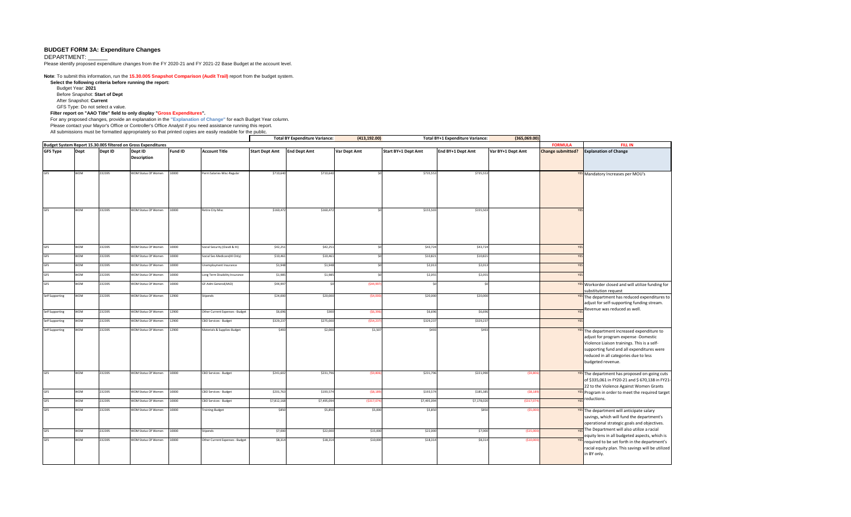#### **BUDGET FORM 3A: Expenditure Changes**

#### DEPARTMENT:

Please identify proposed expenditure changes from the FY 2020-21 and FY 2021-22 Base Budget at the account level.

**Note**: To submit this information, run the **15.30.005 Snapshot Comparison (Audit Trail)** report from the budget system.

**Select the following criteria before running the report:** 

Budget Year: **2021**

Before Snapshot: **Start of Dept**

After Snapshot: **Current**

GFS Type: Do not select a value.

### **Filter report on "AAO Title" field to only display "Gross Expenditures".**

For any proposed changes, provide an explanation in the **"Explanation of Change"** for each Budget Year column.

Please contact your Mayor's Office or Controller's Office Analyst if you need assistance running this report.

Please contact your Mayor's Office or Controller's Office Analyst in you need assistance romany and reposite.<br>All submissions must be formatted appropriately so that printed copies are easily readable for the public.

|                        |                          |                  |                                                               |                |                                                              |                       | <b>Total BY Expenditure Variance:</b> | (413, 192.00) |                            | <b>Total BY+1 Expenditure Variance:</b> | (365,069.00)      |                          |                                                                                                                                                                                                                                                      |
|------------------------|--------------------------|------------------|---------------------------------------------------------------|----------------|--------------------------------------------------------------|-----------------------|---------------------------------------|---------------|----------------------------|-----------------------------------------|-------------------|--------------------------|------------------------------------------------------------------------------------------------------------------------------------------------------------------------------------------------------------------------------------------------------|
|                        |                          |                  | Budget System Report 15.30.005 filtered on Gross Expenditures |                |                                                              |                       |                                       |               |                            |                                         |                   | <b>FORMULA</b>           | <b>FILL IN</b>                                                                                                                                                                                                                                       |
| <b>GFS Type</b>        | Dept                     | Dept ID          | Dept ID<br><b>Description</b>                                 | Fund ID        | <b>Account Title</b>                                         | <b>Start Dept Amt</b> | <b>End Dept Amt</b>                   | Var Dept Amt  | <b>Start BY+1 Dept Amt</b> | End BY+1 Dept Amt                       | Var BY+1 Dept Amt | <b>Change submitted?</b> | <b>Explanation of Change</b>                                                                                                                                                                                                                         |
| GFS                    | <b>WOM</b>               | 232395           | WOM Status Of Women                                           | 10000          | Perm Salaries-Misc-Regular                                   | \$710,640             | \$710,640                             |               | \$735,55                   | \$735,553                               |                   |                          | YES Mandatory Increases per MOU's                                                                                                                                                                                                                    |
| GFS                    | <b>WOM</b>               | 232395           | WOM Status Of Women                                           | 10000          | Retire City Misc                                             | \$160,472             | \$160,472                             |               | \$155,503                  | \$155,50                                |                   |                          |                                                                                                                                                                                                                                                      |
| GFS<br>GFS             | <b>WOM</b><br><b>WOM</b> | 232395<br>232395 | WOM Status Of Women<br>WOM Status Of Women                    | 10000<br>10000 | Social Security (Oasdi & Hi)<br>Social Sec-Medicare(HI Only) | \$42,251<br>\$10,461  | \$42,251<br>\$10,461                  |               | \$43,724<br>\$10,82        | \$43,724<br>\$10,82                     |                   |                          |                                                                                                                                                                                                                                                      |
| GFS                    | <b>WOM</b>               | 232395           | WOM Status Of Women                                           | 10000          | nemployment Insurance                                        | \$1,948               | \$1,948                               |               | \$2,013                    | \$2,013                                 |                   |                          |                                                                                                                                                                                                                                                      |
| GFS                    | <b>WOM</b>               | 232395           | WOM Status Of Women                                           | 10000          | Long Term Disability Insurance                               | \$1,985               | \$1,985                               |               | \$2,055                    | \$2,055                                 |                   |                          |                                                                                                                                                                                                                                                      |
| GFS                    | WOM                      | 232395           | WOM Status Of Women                                           | 10000          | GF-Adm-General(AAO)                                          | \$44,997              | \$0                                   | (S44, 99)     | SO <sub>1</sub>            | \$0                                     |                   |                          | <b>YES</b> Workorder closed and will utilize funding for<br>substitution request                                                                                                                                                                     |
| Self Supporting        | <b>WOM</b>               | 232395           | WOM Status Of Women                                           | 12900          | Stipends                                                     | \$24,000              | \$20,000                              | (S4,00)       | \$20,000                   | \$20,000                                |                   |                          | <b>YES</b> The department has reduced expenditures to<br>adjust for self-supporting funding stream.                                                                                                                                                  |
| <b>Self Supporting</b> | <b>WOM</b>               | 232395           | WOM Status Of Women                                           | 12900          | Other Current Expenses - Budget                              | \$6,696               | \$300                                 | (56, 39)      | \$6,696                    | \$6,696                                 |                   |                          | Revenue was reduced as well.                                                                                                                                                                                                                         |
| <b>Self Supporting</b> | <b>WOM</b>               | 232395           | WOM Status Of Women                                           | 12900          | CBO Services - Budget                                        | \$329,237             | \$275,000                             | (S54, 23)     | \$329,23                   | \$329,23                                |                   |                          |                                                                                                                                                                                                                                                      |
| <b>Self Supporting</b> | WOM                      | 232395           | WOM Status Of Women                                           | 12900          | Materials & Supplies-Budget                                  | \$493                 | \$2,000                               | \$1,50        | \$493                      | \$493                                   |                   |                          | <b>YES</b> The department increased expenditure to<br>adjust for program expense -Domestic<br>Violence Liaison trainings. This is a self-<br>supporting fund and all expenditures were<br>reduced in all categories due to less<br>budgeted revenue. |
| GFS                    | <b>WOM</b>               | 232395           | WOM Status Of Women                                           | 10000          | CBO Services - Budget                                        | \$241,602             | \$231,796                             | (59, 80)      | \$231,79                   | \$221,990                               | (S9, 80)          |                          | YES The department has proposed on-going cuts<br>of \$335,061 in FY20-21 and \$ 670,138 in FY21<br>22 to the Violence Against Women Grants                                                                                                           |
| GFS                    | <b>WOM</b>               | 232395           | WOM Status Of Women                                           | 10000          | CBO Services - Budget                                        | \$201,763             | \$193,57                              | (S8, 18)      | \$193,57                   | \$185,385                               | $($ \$8,18        |                          | <b>YES</b> Program in order to meet the required target                                                                                                                                                                                              |
| GFS                    | WOM                      | 232395           | WOM Status Of Women                                           | 10000          | CBO Services - Budget                                        | \$7,812,168           | \$7,495,094                           | (\$317,07     | \$7,495,094                | \$7,178,020                             | ( \$317, 0]       |                          | YES reductions.                                                                                                                                                                                                                                      |
| GFS                    | <b>WOM</b>               | 232395           | WOM Status Of Women                                           | 10000          | Fraining-Budget                                              | \$850                 | \$5,850                               | \$5,00        | \$5,850                    | \$850                                   | $($ \$5,00        |                          | <b>YES</b> The department will anticipate salary<br>savings, which will fund the department's<br>operational strategic goals and objectives.                                                                                                         |
| GFS                    | <b>WOM</b>               | 232395           | WOM Status Of Women                                           | 10000          | <b>Stipends</b>                                              | \$7,000               | \$22,000                              | \$15,000      | \$22,000                   | \$7,000                                 | (S15,00)          |                          | <b>YES</b> The Department will also utilize a racial<br>equity lens in all budgeted aspects, which is                                                                                                                                                |
| GFS                    | WOM                      | 232395           | WOM Status Of Women                                           | 10000          | Other Current Expenses - Budget                              | \$8,314               | \$18,314                              | \$10,00       | \$18,314                   | \$8,314                                 | (\$10,0]          |                          | required to be set forth in the department's<br>racial equity plan. This savings will be utilized<br>in BY only.                                                                                                                                     |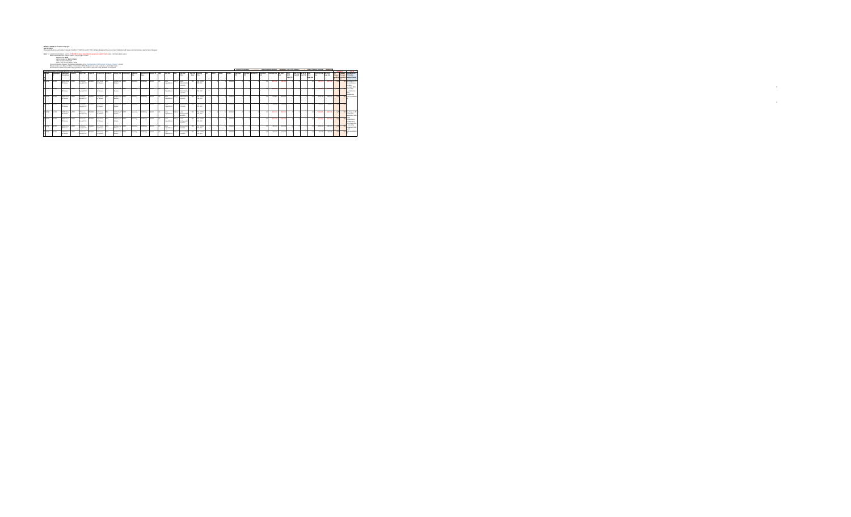| <b>BEFORE SORRE TA Booking Channel</b>                                                                                                                |
|-------------------------------------------------------------------------------------------------------------------------------------------------------|
| <b>GATIN A GATIN AT NITE</b>                                                                                                                          |
| Please identify proposed position changes from the FY 2020-21 and FY 2021-22 Base Budget at the account level indecling both salary and discretionary |

**These three contracts and account trust of the Cart of the final state of the construction indicates are not associated the construction of the Cart of the Cart of the Cart of the Cart of the Cart of the Cart of the Cart** 

|               |                   |                                                                   |                     |                                             |                   |                                           |                                                                    |                           |                  |                          |             |                            |        |                                                 |            |                                        |                |        |                |                                    | Total EVPTS Variation |                                     |       | Total EY Ameunt Variance 65.655.00 at EY-17TT Variance - tal EY-1 Ameunt Variance 65.602.00 |                 |                                   |                                                   |                 |                                         |                   |            |        |                                                                                              |
|---------------|-------------------|-------------------------------------------------------------------|---------------------|---------------------------------------------|-------------------|-------------------------------------------|--------------------------------------------------------------------|---------------------------|------------------|--------------------------|-------------|----------------------------|--------|-------------------------------------------------|------------|----------------------------------------|----------------|--------|----------------|------------------------------------|-----------------------|-------------------------------------|-------|---------------------------------------------------------------------------------------------|-----------------|-----------------------------------|---------------------------------------------------|-----------------|-----------------------------------------|-------------------|------------|--------|----------------------------------------------------------------------------------------------|
|               |                   | <b>Colori Toylem Report 10, 10,000 Flored on Copy Female Room</b> |                     |                                             |                   |                                           |                                                                    |                           |                  |                          |             |                            |        |                                                 |            |                                        |                |        |                |                                    |                       |                                     |       |                                                                                             |                 |                                   |                                                   |                 |                                         |                   |            | ------ | <b>Contractor</b>                                                                            |
| <b>Parent</b> | <b>Department</b> | <b><i><u><u>Department</u></u></i></b><br><b>Description</b>      | <b>Broad Office</b> | <b>Punction</b>                             | Present ID        |                                           | Between Title, Actualis, IN 1983 Activities Title, Betterstein 17. | <b>Authority</b><br>Tata. | <b>Name</b>      | Stamped Lot 1 Account 12 | <b>LAND</b> | <b>MOTIVE</b>              | Cless. | Job Cleve<br><b>TANK</b>                        | Code       | <b>Emaller</b> Emaller<br><b>Total</b> | <b>Distant</b> | Automa | <b>Bullion</b> | <b>Start Draft</b><br>$\mathbf{r}$ | <b>ATT</b>            | End Death Var Death FTE Black Death | and . | End Deat And Var Deat                                                                       | April 1         | <b>Start</b><br>$m-1$<br>Deat FTL | End EV-S Var EV-S Start<br>Deal FTE Deal FTE 87-1 | <b>Deat And</b> | End Ethio Dead Van Ethio<br><b>Bank</b> | Deal And          |            | Ameunt | <b>Instanzion of</b><br>Changes Changes FII and/or<br><b>Submitte Submitte Amount Change</b> |
| ar war        | 212215            | WOM Nebs.<br>COMMERCIA                                            | <b>LOOKIN</b>       | <b>EP Annual</b><br>Associated Plate        | <b>MATHEMATI</b>  | <b>MOTHEW DODG</b><br>afterman            | <b>BOTHAM # 10000</b><br><b>Allmann</b>                            | <b>Operating</b>          | <b>Middelery</b> | 1032010                  |             | <b>SHAK</b><br>Exemployer  | 1820 C | <b>banks</b><br>Administrator<br>+ Analysi      | <b>TRO</b> | <b>790 - LOCAL</b><br>793. SEIG        |                |        | <b>WOME</b>    |                                    |                       |                                     |       | (500,328)                                                                                   | 530,328         |                                   |                                                   | ٠               | 1983-2041                               | 100323-0          |            |        | VEL Suphaner in FTL<br><b>Ab Graduator</b><br><b>hes been</b><br>monastra 1822               |
| ar war        | 12295             | WOM Nebs.<br>OTBomm                                               | sams                | <b>EP Annual</b><br><b>Annune Ctd</b>       | <b>MATHEMS</b>    | <b>MOTHEW DODG</b><br>of Women            | <b>BOSTON of 10000</b><br><b>STANDARD</b>                          | <b>Operating</b>          | 1102hour         | 113010                   |             | <b>SHAK</b><br>Exemployme  | 1820 C | <b>June</b><br>Administrator<br>+ Analysi       | TOP O      | <b>790 - LOCAL</b><br>703. NEW         |                |        | <b>WOME</b>    |                                    |                       |                                     |       | 040.115                                                                                     | (5.03.1%)       |                                   |                                                   |                 | 1503 8631                               | (540,663)         | <b>ALC</b> |        | <b>MAL.000</b><br>substitution for<br>5522<br><b>Analysis</b>                                |
| all service   | <b>HETHER</b>     | <b>MORA Ballon</b><br>Ol'Women                                    | <b>LOOKIN</b>       | <b>Fill Bankrup</b><br><b>Assessed Club</b> | <b>CONTRACTOR</b> | <b>MOTORCHA BOOK</b><br>of Women          | <b>AUTOMOTIVE ART SERVICE</b><br><b>STANDARD</b>                   | <b>Operating</b>          | <b>MEELON</b>    | <b>MONTANA</b>           |             | <b>SHAK</b><br>Exemployme  | 1822<  | <b><i><u>Administration</u></i></b><br>a Anahot | <b>TRO</b> | <b>MALLINER</b><br>703. NEW            |                |        | <b>MONEY</b>   |                                    |                       |                                     |       | \$305,667                                                                                   | <b>STOR AVE</b> |                                   |                                                   |                 | \$309,952                               | <b>STORY BANK</b> |            |        | WE Extended To                                                                               |
| ar war        | <b>NEWSFILM</b>   | WOM Nebs<br>COMMERCIAL COMPANY                                    | sams                | <b>Fill Bankrup</b><br><b>Annune Ctd</b>    | <b>MAYBERTS</b>   | <b>SEPTEMBER 1999</b><br>attacked a       | <b>AUTOMOTIVE ART SERVICE</b><br><b>Allmann</b>                    | <b>Operating</b>          | 1102hour         | <b>STATES</b>            |             | <b>SHAK</b><br>Exemployme  | 1822<  | <b><i><u>Administration</u></i></b><br>a Anahot | <b>TRO</b> | <b>MAG LEWIS</b><br>703. NEW           |                |        | <b>MONEY</b>   |                                    |                       |                                     |       | 148,068                                                                                     | 148,048         |                                   |                                                   |                 | 148,417                                 | 148,417           |            |        |                                                                                              |
| all service   | <b>Norway</b>     | WOM Nebs.<br><b>COMMERCIAL</b>                                    | sams                | <b>EP Annual</b><br><b>Annune Ctd</b>       | <b>MATHEMATI</b>  | <b>MOTORCHA ROOM</b><br>AFTERDAMENT       | <b>BOTHAM # 10000</b><br><b>Allmann</b>                            | <b>Operating</b>          | <b>MEDMAN</b>    | sauces                   |             | <b>SHAK</b><br>Exemployme  | IND C  | here.<br>Management<br><b>San Friday</b>        | TOP O      | <b>MG-LOCAL</b><br>760 WHY             |                |        | <b>MONEY</b>   |                                    |                       |                                     |       | 008-576                                                                                     | <b>SHANN</b>    |                                   |                                                   |                 | 023, 991                                | 13,83,999         | Act of     |        | VES No change in FTE<br>Melbulan<br>mound for \$800                                          |
| ar war        | <b>HETHER</b>     | WOM Nebs.<br>Ol'Women                                             | <b>LOOKIN</b>       | <b>CP Annual</b><br><b>Animark Clvd</b>     | <b>CONTRACTOR</b> | <b>MOTHEW DODG</b><br>of Women            | <b>BOSTON of 10000</b><br><b>Billiannia</b>                        | <b>Operating</b>          | 1102hour         | 113010                   |             | <b>Grass</b><br>Exemployme | IND C  | <b>banks</b><br>Management<br><b>Location</b>   | TOP O      | <b>790 - LOCAL</b><br>703. NEW         |                |        | <b>MONEY</b>   |                                    |                       |                                     |       | 0541,9233                                                                                   | 041821          |                                   |                                                   |                 | 0542-0021                               | 1542,463          |            |        | deathsalan k<br>na berekkenk<br><b>Instructional class</b>                                   |
| <b>MON</b>    | 212215            | WOM Nebs.<br>Ol'Alemno                                            | nnn                 | <b>EP Annual</b><br><b>Annune Ctd</b>       | <b>MATHEMATI</b>  | <b>MOTHEW DODG</b><br>of disease.         | <b>BOTHAM # 10000</b><br><b>STANDARD</b>                           | <b>Operating</b>          | <b>GEOLOGICA</b> | 103003                   |             | <b>Grass</b><br>Exemployme | 1802<  | Management<br><b>Bookerd</b>                    | 780        | <b>290 - LOCAL</b><br>760 WHY          |                |        | <b>WOMS</b>    |                                    |                       |                                     |       | 107, 102                                                                                    | \$97.59         |                                   |                                                   |                 | \$300,000                               | \$305,025         |            |        | and will be<br>Impaging in 1842<br><b>STATE</b><br><b>Reference EUCM</b>                     |
| all service   | 212295            | WOM Nebs.<br><b>COLLAGE</b>                                       | <b>LOOKIN</b>       | <b>EP Annual</b><br>Assault Fld             | <b>COMMERCIA</b>  | <b>MOTIVENS DOGS</b><br><b>ATMOSPHERE</b> | BOTHAM of 10000<br><b>State of</b>                                 | <b>Operating</b>          | 1000hours        | 10,000.0                 | l.          | <b>SHAK</b><br>Exemployer  | 1812<  | Management<br><b><i><u>Institute</u></i></b>    | <b>TRO</b> | <b>790 - LOCAL</b><br>760 WHY          |                |        | WOMER          |                                    |                       |                                     |       | 545,587                                                                                     | 145,537         |                                   |                                                   |                 | 141,978                                 | 10,176            |            |        |                                                                                              |

0

 $\label{eq:4} \begin{array}{ll} \mathbf{0} & \mathbf{0} & \mathbf{0} \\ \mathbf{0} & \mathbf{0} & \mathbf{0} \\ \mathbf{0} & \mathbf{0} & \mathbf{0} \end{array}$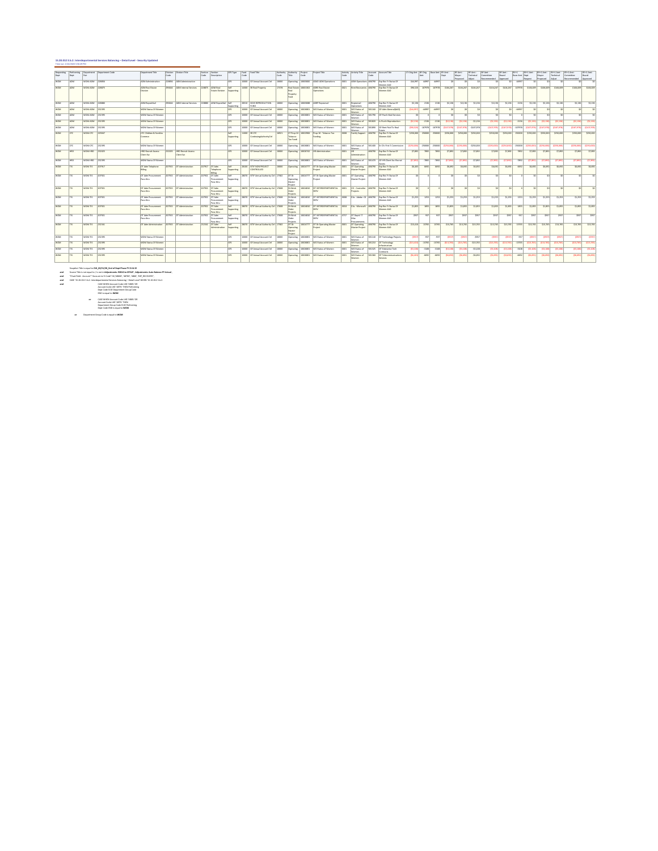#### **15.20.012 3.b.2. Interdepartmental Services Balancing – Detail Level - Security Updated** Time run: 2/24/2020 3:56:49 PM

| Requesting  | Performing       |                | Department Department Code | Department Title                               | Code   | Division Division Title                  | Section Section<br>Code | Description                                             | GFS Type             | Fund<br>Code | <b>Cond Title</b>                         | Code   | Authority Authority<br>Title                        | Project<br>Code      | Project Title                                          | Code  | Activity Activity Title               | Code   | Account Account Title                                         | CY One Ant   BY One   Base Ant   BY Ant - |                 |                      |                | DV Are<br>Mayon<br>Proposed | GY Army<br>Technical<br>Adust | GY Area<br>Committee<br>Recommended | GW Area.<br><b>Board</b><br>Approved | <b>DYA1</b><br><b>Dass Arm</b> | RY+1 Amt-<br>Dept<br>Request | BY+1 Armt -<br>Mauru<br>Proposed | GYAS Ame . GYAS Ame<br>Technical<br>Atlatt | Committee<br>Recommended | RY+1 Amt<br>Board<br>Approved |
|-------------|------------------|----------------|----------------------------|------------------------------------------------|--------|------------------------------------------|-------------------------|---------------------------------------------------------|----------------------|--------------|-------------------------------------------|--------|-----------------------------------------------------|----------------------|--------------------------------------------------------|-------|---------------------------------------|--------|---------------------------------------------------------------|-------------------------------------------|-----------------|----------------------|----------------|-----------------------------|-------------------------------|-------------------------------------|--------------------------------------|--------------------------------|------------------------------|----------------------------------|--------------------------------------------|--------------------------|-------------------------------|
| <b>WOM</b>  | ADM.             | MOM-ADM        | 220855                     | ADM Administration                             | 228856 | ADM Administration                       |                         |                                                         | <b>LCCC</b>          |              | 10000 GF Annual Account Ctrl              | 30000  |                                                     | Operating 10003082   | ADAD ADM Operations                                    | 0001  | ADM Operations 486790                 |        | Exp Rec Fr Status Of<br><b>Kinman AAO</b>                     | \$44,997                                  | 44997           | 44997                | $\overline{r}$ | <b>CO</b>                   | SD <sup>1</sup>               | <b>CO</b>                           | en.                                  | 44997                          |                              |                                  | <b>SO</b>                                  |                          |                               |
| <b>WOM</b>  | ADM.             | WOM-ADM 228875 |                            | <b>ADM Real Estate</b><br>Division             |        | 296644 ADM Internal Services             |                         | 228875 ADM Real<br>Estate Division Supporting           | Calif.               |              | 14300 SR Real Property                    | 17378  | Property<br>Fund                                    | Real Estate 10001302 | <b>ADRE Real Estate</b><br><b>Operations</b>           |       |                                       |        | 0021 Rent Recoveries 486790 Exp Rec Fr Status Of<br>Women AAD |                                           | \$90,520 107978 | 107978               | \$104,267      | \$104,267                   | \$104,267                     | \$104,267                           | \$106,267                            | 107978                         | \$106,009                    | \$106,009                        | \$106,009                                  | \$306,009                | \$106,009                     |
| WOM.        | ADM.             | WOM-ADM 228890 |                            | <b>ADM ReproMail</b>                           |        | 296644 ADM Internal Services             |                         | 22880 ADM ReproMal Self                                 | Supporting           |              | 28310   ISOS REPRODUCTION                 | 30000  |                                                     |                      | Operating 10003088 ADRP Reprompt                       | 0001  | Repromail<br>Doeration                |        | 486790 Exp Rec Fr Status Of<br>QAA nemeti                     | \$2,136                                   | 2136            | 2136                 | \$2,136        | \$2,136                     | \$2,136                       | \$2,136                             | \$2,136                              | 2136                           | \$2,136                      | \$2,136                          | \$2.136                                    | \$2,136                  | \$2,136                       |
| <b>WOM</b>  | ADM.             | WOM-ADM 232295 |                            | WOM Status Of Women                            |        |                                          |                         |                                                         | GFS                  |              | 10000 GF Annual Account Ctrl              | 10000  |                                                     |                      | Operating 10020801 WO Status of Women                  |       | 0001 WO Status of                     |        | SR1160 GF-Adm-General/AACI                                    | (\$44,997)                                | 44007           | 44097                |                | co                          | sol                           | en.                                 | on I                                 | $-44997$                       |                              | <b>CO</b>                        |                                            | cn.                      |                               |
| <b>WOM</b>  | <b>ADM</b>       | WOM-ADM 232395 |                            | WOM Status Of Women                            |        |                                          |                         |                                                         | <b>LCCC</b>          |              | 10000 GF Annual Account Ctrl              | 33300  |                                                     |                      | Operating 10026801 WO Status of Women                  | cont. | WO Status of<br>Wingsan               |        | SR1790 GF-Purch-Mail Services                                 |                                           |                 |                      |                |                             |                               |                                     |                                      |                                |                              |                                  |                                            |                          |                               |
| <b>WOM</b>  | <b>ADAA</b>      | WOM-ADM 232395 |                            | WOM Status Of Women                            |        |                                          |                         |                                                         | GFS                  |              | 10000 GF Annual Account Ctrl              | 30000  |                                                     |                      | Operating   10026801 WO Status of Women                | 0001  | WO Status of<br>Wingman               |        | 581820 lis-Purch-Reproduction                                 | (52,136)                                  | $-2136$         | $-2136$              | (52, 136)      | 152, 1360                   | $-52.136$                     | (52,136)                            | (52,1361)                            | $-2136$                        | (52,136)                     | 62,1361                          | (\$2,136)                                  | (52.136)                 | 62,136                        |
| WOM.        | ADM.             | WOM-ADM 232295 |                            | WOM Status Of Women                            |        |                                          |                         |                                                         | crs.                 |              | 10000 GF Annual Account Ctrl              | 30000  |                                                     |                      | Operating 20020801 WO Status of Women                  | 0001  | WO Status of<br><b>Shipman</b>        |        | SR1890 GF-Rent Paid To Real<br>                               | (\$90,520)                                |                 | $-107978 - 107978$   | (\$107,978)    | (\$107,978)                 | $-5107.978$                   | (\$107.978)                         | (\$107,978)                          | $-107978$                      | (\$337,978)                  | (\$107,978)                      | (\$107,978)                                |                          | (\$107,978) (\$107,978)       |
| <b>WOM</b>  | <b>CFC</b>       | WOM-CFC 229047 |                            | CFC Children & Families<br>Commun              |        |                                          |                         |                                                         | Call .<br>Supporting | 11000 SR CFC | ContinuineAuthorityCtrl                   | 16921  | Tehnero<br><b>Tax Fundi</b>                         |                      | CF Prop 10 - 10022906 Prop 10 - Tobacco Tax<br>Funding |       |                                       |        | 0008 Family Support 486790 Exp Rec Fr Status Of<br>Winman 440 | C350000                                   |                 | 250000 250000        | \$250,000      | \$250,000                   | \$250,000                     | \$250,000                           | \$250,000 250000                     |                                | \$250,000                    | \$250,000                        | \$250,000                                  | \$250,000                | \$250,000                     |
| WOM.        | <b>CFC</b>       | WOM-CFC        | 232295                     | WOM Status Of Women                            |        |                                          |                         |                                                         | lices                |              | 10000 GF Annual Account Ctrl              | 30000  |                                                     |                      | Operating 10020801 WO Status of Women                  | 0001  | WO Status of<br>Minimum               |        | SR1400 Sr-Cfc-First 5 Commission                              | (\$250,000)                               | $-250000$       | $-250000$            | (\$250,000     | (\$250,000)                 | $-5250.000$                   | (\$250,000)                         | (5250,000)                           | $-250000$                      | (C)Shing                     | (\$250,000)                      | <b>ASSAM</b>                               |                          | (\$250,000) (\$250,000)       |
| <b>WOM</b>  | HRD              | WOM-HRD 232025 |                            | HRD Recruit-Assess-<br>Client Syc              |        | 222025 HRD Recruit-Assess-<br>Client Suc |                         |                                                         | GFS                  |              | 10000 GF Annual Account Ctrl              | 30000  |                                                     |                      | Operating 10026742 HR Administration                   | 0001  | 140<br>Administration                 |        | 486790 Exp Rec Fr Status Of<br>Women AAO                      | \$7,892                                   | 7892            | 7892                 | \$7,892        | \$7,892                     | \$7,992                       | \$7,892                             | \$7,892                              | 7892                           | \$7,892                      | \$7,892                          | \$7,892                                    | \$7,992                  | \$7,892                       |
| <b>MYMA</b> | HRD              | WOM-HRD 232395 |                            | WOM Status Of Women                            |        |                                          |                         |                                                         | LCCC.                |              | 10000 GF Annual Account Ctrl              | 100000 |                                                     |                      | Operating 10020801 WO Status of Women                  | 0001  | WO Status of<br>Writing               |        | SR1470 GF-HR-Client Syc-Recruit-<br><b>Lenne</b>              | (57,892)                                  | $-7892$         | .79921               | (\$7,992)      | (57,892)                    | $-57.992$                     | (57,892)                            | (57,892)                             | $-7892$                        | (57,992)                     | 67,8925                          | (\$7,892)                                  | 057,8921                 | 67,892                        |
| <b>WOM</b>  | TG <sub>1</sub>  | WOM-TIS        | 207917                     | DT Adm Telephone<br>killor.                    |        | 207915 DT Administration                 |                         | 207917 OT Adm<br>Telephone<br><b>Billing</b>            | Self<br>Supporting   |              | 28100 ISTIF NON PROJECT<br>CONTROLLED     | 30000  |                                                     |                      | Operating 10024777 DTD: Operating Master               | 0001  | DT Operating<br><b>Master Project</b> | 486790 | Exp Rec Fr Status Of<br>Women AAD                             | \$6,403                                   | 6692            | 6692                 | 56,692         | \$6,692                     | \$6,692                       | \$6,692                             | \$6,692                              | 6692                           | \$6,692                      | \$6,692                          | \$6,692                                    | \$6,692                  | \$6,692                       |
| <b>MYAL</b> | TH.              | WOM-TIS        | 207921                     | DT Adm Procurement<br>Pass-thru                |        | 207915 OT Administration                 | 207921 OT Adm           | <b>Procurement</b><br>Pass-thru                         | Self<br>Supporting   |              | 28070 ISTIF Annual Authority Ctrl 17582   |        | OT D1<br><b>Operating</b><br>Master<br>Project      |                      | 10024777 OT Dt Operating Master                        | 0001  | <b>DT Operating</b><br>Master Project |        | 486790 Exp Rec Fr Status Of<br>Women AAD                      | sol                                       | $\sim$          | $\sim$               |                | cn                          | sol                           | sol                                 | on I                                 |                                | cn.                          | cn                               |                                            | cn1                      |                               |
| <b>WOM</b>  | TG.              | WOM-TIS        | 207921                     | DT Adm Procurement<br>Pass-thru                |        | 207915 DT Administration                 | 307921 0T Adm           | Procurement<br>Pass-thru                                | Self<br>Supporting   |              | 28070 ISTIF Annual Authority Ctrl   17608 |        | Dt Work<br>Order<br>Projects                        |                      | 10024810 DT INTERCEPARTMENTAL 0001                     |       | CD - Controller 486790<br>Projects    |        | Exp Rec Fr Status Of<br>OAA nemali                            | sol.                                      |                 |                      | <b>CO</b>      | 50                          | sol.                          | sol                                 | on I                                 |                                | cn                           | 50                               | <b>SO</b>                                  | 50 <sub>1</sub>          |                               |
| WOM         | TIS <sup>1</sup> | WOM-TIS        | 207921                     | DT Adm Procurement<br>Pass-thru                |        | 207915 DT Administration                 | 207921 OT Adm           | <b>Procurement</b><br><b>Dear Albert</b>                | Self<br>Supporting   |              | 28070 ISTIF Annual Authority Ctrl 17608   |        | Dt Work<br>Order<br>Projects                        |                      | 10024810 OT INTERCEPARTMENTAL 0008                     |       | EAs - Adobe -01 486790                |        | Exp Rec Fr Status Of<br>Women AAD                             | \$1,253                                   | 1253            | 1253                 | \$1,253        | \$1,253                     | \$1,253                       | \$1,253                             | \$1,253                              | 1253                           | \$1,253                      | \$1253                           | 51.253                                     | \$1,253                  | \$1,253                       |
| <b>WOM</b>  | TIS.             | WOM-TIS        | 207921                     | DT Adm Procurement<br>Pass-thru                |        | 207915 OT Administration                 |                         | 207921 OT Adm<br><b>Procurement</b><br><b>Denturban</b> | Self<br>Supporting   |              | 28070 ISTIF Annual Authority Ctrl 17608   |        | Dt Work<br>Order<br><b>Diviliants</b>               |                      | 10024810 OT INTERCEPARTMENTAL 0018                     |       | EAs - Microsoft 486790                |        | Exp Rec Fr Status Of<br>Women AAD                             | \$1,855                                   | 1855            | 1855                 | \$1,855        | \$1,855                     | \$1,855                       | \$1,855                             | \$1,855                              | 1855                           | \$1,855                      | \$1,855                          | \$1,855                                    | \$1,855                  | \$1,855                       |
| WOM         | TIS <sup>1</sup> | WOM-TIS        | 207921                     | OT Adm Procurement<br>Dass Hyu                 |        | 207915 DT Administration                 | 207921 0TAdm            | <b>Procurement</b><br>Pass-thru                         | Self<br>Supporting   |              | 28070 ISTIF Annual Authority Ctrl 17608   |        | Dt Work<br>Order<br>Projects                        |                      | 10024810 OT INTERCEPARTMENTAL 0727<br>cres.            |       | DT Depts' IT<br><b>Procurements</b>   |        | 486790 Exp Rec Fr Status Of<br>Women AAD                      | 5937                                      | 927             | 937                  | \$937          | \$937                       | \$937                         | \$937                               | \$937                                | 927                            | \$937                        | 5927                             | \$937                                      | \$937                    | \$937                         |
| <b>WOM</b>  | TIS.             | WOM-TIS        | 232341                     | DT Adm Administration 207915 DT Administration |        |                                          | 222341 OT Adm           | Administration Supporting                               | Self                 |              | 28070 ISTIF Annual Authority Ctrl 17582   |        | orp<br><b>Operating</b><br>Master<br><b>Donia</b> r |                      | 10024777 OT Dt Operating Master                        | 0001  | OT Operating<br>Master Project        |        | 486790 Exp Rec Fr Status Of<br>Wiomen AAO                     |                                           |                 | \$13,410 13765 13765 | \$13,765       | \$13,765                    | \$13,765                      | \$13,765                            | \$13,765                             | 13765                          | \$13,765                     | \$13,765                         | \$13,765                                   | \$13,765                 | \$13,765                      |
| WOM.        | TIS              | WOM-TIS        | 232295                     | WOM Status Of Women                            |        |                                          |                         |                                                         | ces.                 |              | 10000 GF Annual Account Ctrl              | 30000  |                                                     |                      | Operating 10020801 WO Status of Women                  | 0001  | WO Status of<br>Mrime                 |        | SR1140 DT Technology Projects                                 | 159371                                    | $-927$          | $-927$               | 15937          | 159371                      | $-5937$                       | (5937)                              | 69371                                | $-927$                         | 15937                        | 159375                           | 6937                                       | (5937)                   | 15937                         |
| <b>WOM</b>  | TIS.             | WOM-TIS        | 232295                     | WOM Status Of Women                            |        |                                          |                         |                                                         | GFS                  |              | 10000 GF Annual Account Ctrl              | 33300  |                                                     |                      | Operating 10020801 WO Status of Women                  | 0001  | WO Status of<br>Wingman               |        | SR1210 OT Technology<br><b>Infirmation change</b>             | (\$12,410)                                | $-13765$        | $-13265$             | (\$13,765)     | (\$13,765)                  | $-513.765$                    | (\$13,765)                          | (\$13,765)                           | $-13765$                       | (\$13,765)                   | (\$13,765)                       | (\$13,765)                                 |                          | (\$13,765) (\$13,765)         |
| <b>WOM</b>  | Trs              | WOM-TIS        | 232395                     | WOM Status Of Women                            |        |                                          |                         |                                                         | GFS                  |              | 10000 GF Annual Account Ctrl              | 33000  |                                                     |                      | Operating 10020801 WO Status of Women                  | 0001  | WO Status of<br>Wingsan               | 581325 | DT Enterprise Tech<br><b>Contracts</b>                        | 63,000                                    | $-3308$         | $-2228$              | (53, 338)      | 153, 1081                   | $-53.108$                     | 153,1081                            | (\$3,108)                            | $-2228$                        | (53, 338                     | 63108                            | 153,108                                    | (\$3,108)                | 63,000                        |
| <b>WOM</b>  | Trs              | WOM-TIS        | 222295                     | WOM Status Of Women                            |        |                                          |                         |                                                         | GFS                  |              | 10000 GF Annual Account Ctrl              | 20000  |                                                     |                      | Operating 10020801 WO Status of Women                  | 0001  | WO Status of<br>Women                 | 581360 | DT Telecommunications<br><b>General</b>                       | (56,403)                                  | $-6692$         | $-6692$              | 156,692        | 156,6921                    | $-56.692$                     | 156,6921                            | 056,693                              | $-6692$                        | (56.992)                     | 66,6925                          | 156,692                                    | (\$6,692)                | 66.693                        |

snaprost rom a equatro *can sup experiment* are are personas et za **n. 22.**<br>Source Title is not equal to //a not in Alguetonete: 92016 to GRSUP, Adjustments: Auto Balance PY Actual ,<br>"Chart Field - Account"."Account in A C

 $\begin{array}{lllllllll} \textbf{BSE} & \textbf{188} & \textbf{188} & \textbf{188} & \textbf{188} & \textbf{188} & \textbf{188} & \textbf{188} & \textbf{188} & \textbf{188} & \textbf{188} & \textbf{188} & \textbf{188} & \textbf{188} & \textbf{188} & \textbf{188} & \textbf{188} & \textbf{188} & \textbf{188} & \textbf{188} & \textbf{188} & \textbf{188} & \textbf{188} & \textbf$ CASE '15.20.012 3.b.2. Interdepartmental Services Balancing – Detail Level' WHEN '15.20.012 3.b.2. **and**

Department Group Code is equal to **WOM**